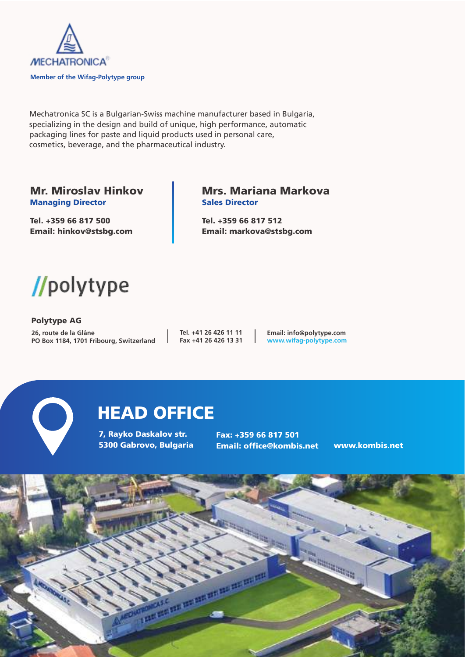

Mechatronica SC is a Bulgarian-Swiss machine manufacturer based in Bulgaria, specializing in the design and build of unique, high performance, automatic packaging lines for paste and liquid products used in personal care, cosmetics, beverage, and the pharmaceutical industry.

#### **Mr. Miroslav Hinkov Managing Director**

**Tel. +359 66 817 500 Email: hinkov@stsbg.com**

#### **Mrs. Mariana Markova Sales Director**

**Tel. +359 66 817 512 Email: markova@stsbg.com**



**Polytype AG 26, route de la Glâne PO Box 1184, 1701 Fribourg, Switzerland**

**Tel. +41 26 426 11 11 Fax +41 26 426 13 31**

**Email: info@polytype.com www.wifag-polytype.com**



# **HEAD OFFICE**

**7, Rayko Daskalov str. 5300 Gabrovo, Bulgaria** **Fax: +359 66 817 501 Email: office@kombis.net www.kombis.net**

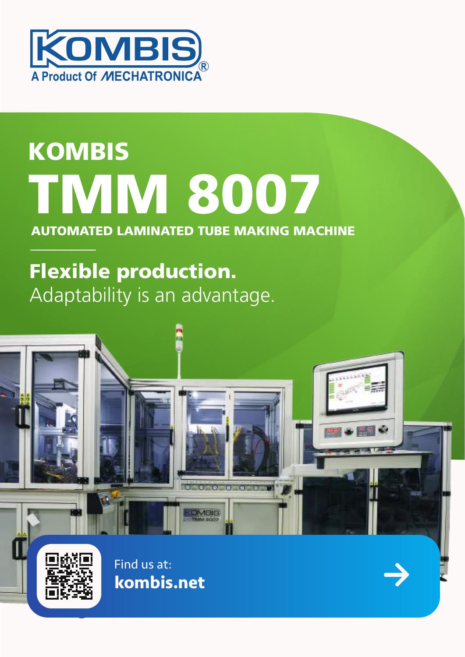

# **KOMBIS TMM 8007**

### **AUTOMATED LAMINATED TUBE MAKING MACHINE**

# **Flexible production.** Adaptability is an advantage.

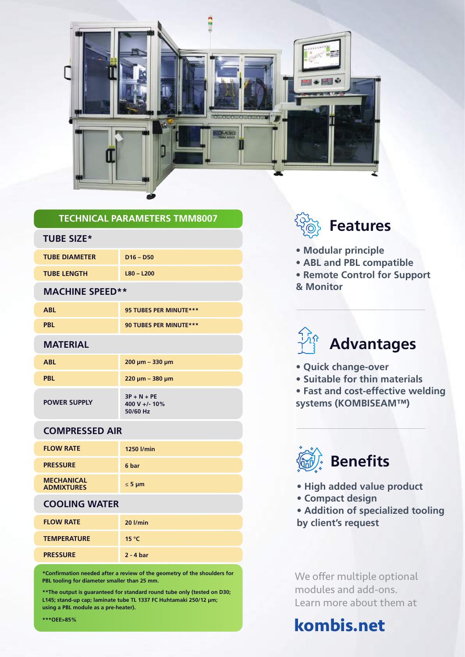

#### **TECHNICAL PARAMETERS TMM8007**

#### **TUBE SIZE\***

| <b>TUBE DIAMETER</b> | $D16 - D50$  |
|----------------------|--------------|
| <b>TUBE LENGTH</b>   | $L80 - L200$ |

#### **MACHINE SPEED\*\***

| <b>ABL</b> | 95 TUBES PER MINUTE *** |
|------------|-------------------------|
| <b>PBL</b> | 90 TUBES PER MINUTE *** |

#### **MATERIAL**

| <b>ABL</b>          | $200 \mu m - 330 \mu m$                    |
|---------------------|--------------------------------------------|
| <b>PBL</b>          | $220 \mu m - 380 \mu m$                    |
| <b>POWER SUPPLY</b> | $3P + N + PE$<br>400 V +/- 10%<br>50/60 Hz |

#### **COMPRESSED AIR**

| <b>FLOW RATE</b>                       | 1250 l/min  |
|----------------------------------------|-------------|
| <b>PRESSURE</b>                        | 6 bar       |
| <b>MECHANICAL</b><br><b>ADMIXTURES</b> | $\leq$ 5 µm |

#### **COOLING WATER**

| <b>FLOW RATE</b>   | $20$ $l/min$ |
|--------------------|--------------|
| <b>TEMPERATURE</b> | 15 °C        |
| <b>PRESSURE</b>    | $2 - 4$ bar  |

**\*Confirmation needed after a review of the geometry of the shoulders for PBL tooling for diameter smaller than 25 mm.**

**\*\*The output is guaranteed for standard round tube only (tested on D30; L145; stand-up cap; laminate tube TL 1337 FC Huhtamaki 250/12 µm; using a PBL module as a pre-heater).**



- **Modular principle**
- **ABL and PBL compatible**
- **Remote Control for Support & Monitor**



- **Quick change-over**
- **Suitable for thin materials**
- **Fast and cost-effective welding systems (KOMBISEAM™)**



- **High added value product**
- **Compact design**
- **Addition of specialized tooling by client's request**

We offer multiple optional modules and add-ons. Learn more about them at

## **kombis.net**

#### **\*\*\*OEE>85%**